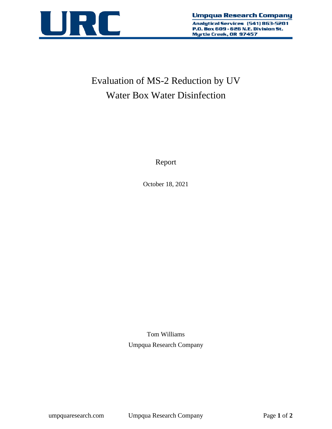

# Evaluation of MS-2 Reduction by UV Water Box Water Disinfection

Report

October 18, 2021

Tom Williams Umpqua Research Company